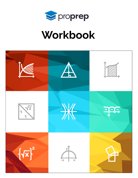

# Workbook

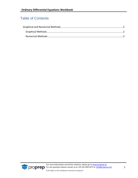### Table of Contents

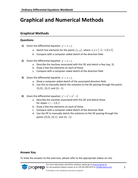## <span id="page-2-0"></span>**Graphical and Numerical Methods**

#### <span id="page-2-1"></span>**Graphical Methods**

#### **Questions**

- **1)** Given the differential equation  $y' = x + y$ .
	- a. Sketch line elements for the points  $(x, y)$ , where  $x, y \in \{-2, -1, 0, 1, 2\}$ .
	- b. Compare with a computer-aided sketch of the direction field.
- **2)** Given the differential equation  $y' = x + y$ .
	- a. Describe the isoclines associated with this DE and sketch a few (say, 3).
	- b. Draw a few line elements on each of these.
	- c. Compare with a computer-aided sketch of the direction field.
- **3)** Given the differential equation  $y' = x + y$ .
	- a. Show a computer-aided sketch of the associated direction field.
	- b. Use this to manually sketch the solutions to the DE passing through the points  $\left(0,0\right)$  ,  $\left(0,1\right)$  and  $\left(0,-1\right)$  .
- **4)** Given the differential equation  $y' = x^2 + y^2 2$ .
	- a. Describe the isoclines associated with this DE and sketch those for slopes  $c = -1, 0, 2$ .
	- b. Draw a few line elements on each of these.
	- c. Compare with a computer-aided sketch of the direction field.
	- d. Use the DF to manually sketch the solutions to the DE passing through the points  $(0,0)$ ,  $(0,2)$  and  $(0,-2)$ .

#### **Answer Key**

To View the answers to the exercises, please refer to the appropriate videos on site.